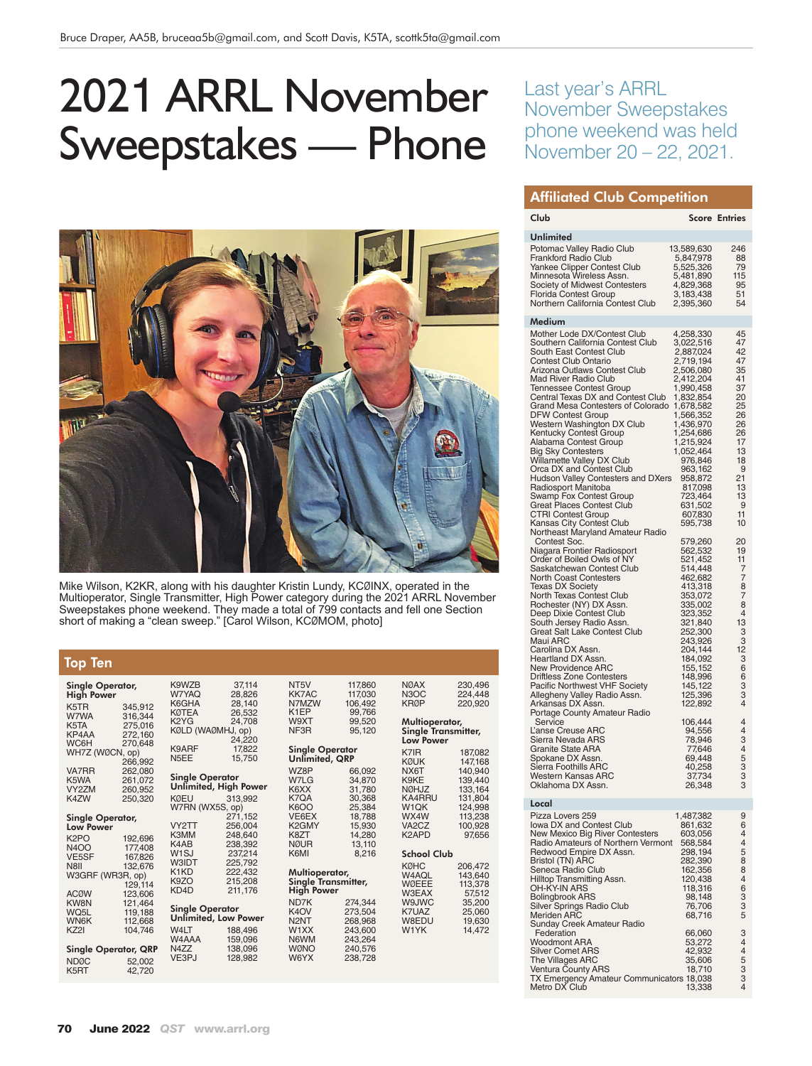# 2021 ARRL November Sweepstakes — Phone



Mike Wilson, K2KR, along with his daughter Kristin Lundy, KCØINX, operated in the Multioperator, Single Transmitter, High Power category during the 2021 ARRL November Sweepstakes phone weekend. They made a total of 799 contacts and fell one Section short of making a "clean sweep." [Carol Wilson, KCØMOM, photo]

#### Top Ten

| Single Operator,<br>High Power |                    | K9WZB<br>W7YAQ<br>K6GHA | 37,114<br>28,826<br>28.140 |
|--------------------------------|--------------------|-------------------------|----------------------------|
| K5TR                           | 345.912            | <b>KØTEA</b>            | 26,532                     |
| W7WA                           | 316,344            | K2YG                    | 24,708                     |
| K5TA                           | 275,016            | KØLD (WAØMHJ, op)       |                            |
| KP4AA<br>WC6H                  | 272,160            |                         | 24,220                     |
|                                | 270.648            | K9ARF                   | 17,822                     |
| WH7Z (WØCN, op)                |                    | N <sub>5</sub> EE       | 15,750                     |
| <b>VA7RR</b>                   | 266,992<br>262,080 |                         |                            |
| K <sub>5</sub> WA              | 261,072            | <b>Single Operator</b>  |                            |
| VY2ZM                          | 260,952            | Unlimited, High Pow     |                            |
| K4ZW                           | 250,320            | <b>KØEU</b>             | 313,992                    |
|                                |                    | W7RN (WX5S, op)         |                            |
| Single Operator,               |                    |                         | 271,152                    |
| <b>Low Power</b>               |                    | VY2TT                   | 256.004                    |
|                                |                    | K3MM                    | 248,640                    |
| K <sub>2</sub> PO              | 192,696            | K4AB                    | 238,392                    |
| <b>N4OO</b>                    | 177,408            | W <sub>1</sub> SJ       | 237.214                    |
| <b>VE5SF</b>                   | 167.826            | <b>W3IDT</b>            | 225,792                    |
| N8II                           | 132,676            | K1KD                    | 222.432                    |
| W3GRF (WR3R, op)               |                    | K9ZO                    | 215,208                    |
|                                | 129,114            | KD4D                    | 211,176                    |
| <b>ACØW</b>                    | 123,606            |                         |                            |
| <b>KW8N</b>                    | 121,464            | <b>Single Operator</b>  |                            |
| WQ5L                           | 119,188            | Unlimited, Low Pow      |                            |
| <b>WN6K</b>                    | 112,668            |                         |                            |
| KZ21                           | 104.746            | W4LT                    | 188,496                    |
|                                |                    | W4AAA                   | 159,096                    |
| <b>Single Operator, QRP</b>    |                    | N4ZZ<br>VE3PJ           | 138,096                    |
| <b>NDØC</b>                    | 52,002             |                         | 128,982                    |
| K5RT                           | 42,720             |                         |                            |

| 28,826<br>28,140<br>26,532<br>24,708<br>KØLD (WAØMHJ, op)<br>24,220<br>17,822<br>15.750 |
|-----------------------------------------------------------------------------------------|
| <b>Single Operator</b><br>Unlimited, High Power                                         |
| 313,992                                                                                 |
| W7RN (WX5S, op)<br>271,152                                                              |
| 256,004                                                                                 |
| 248,640<br>238,392                                                                      |
| 237,214                                                                                 |
| 225,792                                                                                 |
| 222,432                                                                                 |
| 215,208<br>211,176                                                                      |
| <b>Single Operator</b>                                                                  |
| Unlimited, Low Power                                                                    |
| 188,496<br>159,096                                                                      |
| 138,096                                                                                 |
| 128,982                                                                                 |
|                                                                                         |

| K1EP<br>W9XT<br>NF3R                                                           | 99,766<br>99.520<br>95,120                                                                      |
|--------------------------------------------------------------------------------|-------------------------------------------------------------------------------------------------|
| Single Operator<br>Unlimited, QRP                                              |                                                                                                 |
| WZ8P<br>W7LG<br>K6XX<br>K7OA<br>K6OO<br>VE6EX<br>K2GMY<br>K8ZT<br>NØUR<br>K6MI | 66,092<br>34,870<br>31,780<br>30.368<br>25,384<br>18.788<br>15,930<br>14,280<br>13,110<br>8,216 |
| Multioperator,<br>Single Transmitter,<br>High Power                            |                                                                                                 |
| ND7K                                                                           | 274,344                                                                                         |
| K4OV<br>N2NT                                                                   | 273,504<br>268,968                                                                              |
| W1XX                                                                           | 243,600                                                                                         |
| N6WM                                                                           | 243.264                                                                                         |

WØNO 240,576<br>W6YX 238.728 238,728

NT5V 117,860 KK7AC 117,030 N7MZW 106,492

| <b>NØAX</b>                                                                                     | 230,496                                                                         |
|-------------------------------------------------------------------------------------------------|---------------------------------------------------------------------------------|
| N <sub>3</sub> OC                                                                               | 224,448                                                                         |
| KRØP                                                                                            | 220,920                                                                         |
| Multioperator,<br><b>Single Transmitter,</b><br><b>Low Power</b>                                |                                                                                 |
| K7IR                                                                                            | 187,082                                                                         |
| KØUK                                                                                            | 147,168                                                                         |
| NX6T                                                                                            | 140,940                                                                         |
| K9KE                                                                                            | 139,440                                                                         |
| <b>NØHJZ</b>                                                                                    | 133.164                                                                         |
| <b>KA4RRU</b>                                                                                   | 131,804                                                                         |
| W1QK                                                                                            | 124,998                                                                         |
| WX4W                                                                                            | 113,238                                                                         |
| VA <sub>2</sub> C <sub>Z</sub>                                                                  | 100,928                                                                         |
| K2APD                                                                                           | 97,656                                                                          |
| <b>School Club</b><br>KØHC<br>W4AQL<br>WØEEE<br>W3EAX<br>W9JWC<br>K7UAZ<br>W8EDU<br><b>W1YK</b> | 206.472<br>143,640<br>113.378<br>57,512<br>35,200<br>25,060<br>19,630<br>14,472 |

## Last year's ARRL November Sweepstakes phone weekend was held November 20 – 22, 2021.

#### Affiliated Club Competition

| Club                                                                                                                                                                                                                                                                                                                                                                                                                                                                                                                                                                                                                                                                                                                                                                                                    |                                                                                                                                                                                                                                                                                                                      | <b>Score Entries</b>                                                                                                                                                     |
|---------------------------------------------------------------------------------------------------------------------------------------------------------------------------------------------------------------------------------------------------------------------------------------------------------------------------------------------------------------------------------------------------------------------------------------------------------------------------------------------------------------------------------------------------------------------------------------------------------------------------------------------------------------------------------------------------------------------------------------------------------------------------------------------------------|----------------------------------------------------------------------------------------------------------------------------------------------------------------------------------------------------------------------------------------------------------------------------------------------------------------------|--------------------------------------------------------------------------------------------------------------------------------------------------------------------------|
| Unlimited                                                                                                                                                                                                                                                                                                                                                                                                                                                                                                                                                                                                                                                                                                                                                                                               |                                                                                                                                                                                                                                                                                                                      |                                                                                                                                                                          |
| Potomac Valley Radio Club<br><b>Frankford Radio Club</b><br>Yankee Clipper Contest Club<br>Minnesota Wireless Assn.<br>Society of Midwest Contesters<br>Florida Contest Group<br>Northern California Contest Club                                                                                                                                                                                                                                                                                                                                                                                                                                                                                                                                                                                       | 13,589,630<br>5,847,978<br>5,525,326<br>5,481,890<br>4,829,368<br>3,183,438<br>2,395,360                                                                                                                                                                                                                             | 246<br>88<br>79<br>115<br>95<br>51<br>54                                                                                                                                 |
| Medium                                                                                                                                                                                                                                                                                                                                                                                                                                                                                                                                                                                                                                                                                                                                                                                                  |                                                                                                                                                                                                                                                                                                                      |                                                                                                                                                                          |
| Mother Lode DX/Contest Club                                                                                                                                                                                                                                                                                                                                                                                                                                                                                                                                                                                                                                                                                                                                                                             | 4,258,330                                                                                                                                                                                                                                                                                                            | 45                                                                                                                                                                       |
| Southern California Contest Club<br>South East Contest Club<br>Contest Club Ontario<br>Arizona Outlaws Contest Club<br><b>Mad River Radio Club</b><br><b>Tennessee Contest Group</b><br>Central Texas DX and Contest Club<br>Grand Mesa Contesters of Colorado<br><b>DFW Contest Group</b><br>Western Washington DX Club<br>Kentucky Contest Group<br>Alabama Contest Group<br><b>Big Sky Contesters</b><br>Willamette Valley DX Club<br>Orca DX and Contest Club<br>Hudson Valley Contesters and DXers<br>Radiosport Manitoba<br>Swamp Fox Contest Group<br>Great Places Contest Club                                                                                                                                                                                                                  | 3,022,516<br>2,887,024<br>2,719,194<br>2,506,080<br>2,412,204<br>1,990,458<br>1,832,854<br>1,678,582<br>1,566,352<br>1,436,970<br>1,254,686<br>1,215,924<br>1,052,464<br>976,846<br>963,162<br>958,872<br>817,098<br>723,464<br>631,502                                                                              | 47<br>42<br>47<br>35<br>41<br>37<br>20<br>25<br>26<br>26<br>26<br>17<br>13<br>18<br>9<br>21<br>13<br>13                                                                  |
|                                                                                                                                                                                                                                                                                                                                                                                                                                                                                                                                                                                                                                                                                                                                                                                                         |                                                                                                                                                                                                                                                                                                                      | 9<br>11                                                                                                                                                                  |
| CTRI Contest Group<br>Kansas City Contest Club<br>Northeast Maryland Amateur Radio<br>Contest Soc.<br>Niagara Frontier Radiosport<br>Order of Boiled Owls of NY<br>Saskatchewan Contest Club<br>North Coast Contesters<br><b>Texas DX Society</b><br>North Texas Contest Club<br>Rochester (NY) DX Assn.<br>Deep Dixie Contest Club<br>South Jersey Radio Assn.<br>Great Salt Lake Contest Club<br>Maui ARC<br>Carolina DX Assn.<br>Heartland DX Assn.<br>New Providence ARC<br>Driftless Zone Contesters<br>Pacific Northwest VHF Society<br>Allegheny Valley Radio Assn.<br>Arkansas DX Assn.<br>Portage County Amateur Radio<br>Service<br>L'anse Creuse ARC<br>Sierra Nevada ARS<br><b>Granite State ARA</b><br>Spokane DX Assn.<br>Sierra Foothills ARC<br>Western Kansas ARC<br>Oklahoma DX Assn. | 607,830<br>595,738<br>579,260<br>562,532<br>521,452<br>514,448<br>462,682<br>413,318<br>353,072<br>335,002<br>323,352<br>321,840<br>252,300<br>243,926<br>204,144<br>184,092<br>155,152<br>148,996<br>145,122<br>125,396<br>122,892<br>106,444<br>94,556<br>78,946<br>77,646<br>69,448<br>40,258<br>37,734<br>26,348 | 10<br>20<br>19<br>11<br>7<br>7<br>8<br>7<br>8<br>4<br>13<br>3<br>3<br>12<br>3<br>6<br>6<br>3<br>3<br>$\overline{4}$<br>4<br>$\overline{4}$<br>3<br>4<br>5<br>3<br>3<br>3 |
| Local                                                                                                                                                                                                                                                                                                                                                                                                                                                                                                                                                                                                                                                                                                                                                                                                   |                                                                                                                                                                                                                                                                                                                      |                                                                                                                                                                          |
| Pizza Lovers 259<br>Iowa DX and Contest Club<br>New Mexico Big River Contesters<br>Radio Amateurs of Northern Vermont<br>Redwood Empire DX Assn.<br>Bristol (TN) ARC<br>Seneca Radio Club<br>Hilltop Transmitting Assn.<br>OH-KY-IN ARS<br>Bolingbrook ARS<br><b>Silver Springs Radio Club</b><br><b>Meriden ARC</b><br>Sunday Creek Amateur Radio<br>Federation<br><b>Woodmont ARA</b><br>Silver Comet ARS<br>The Villages ARC<br>Ventura County ARS                                                                                                                                                                                                                                                                                                                                                   | 1,487,382<br>861,632<br>603,056<br>568,584<br>298,194<br>282,390<br>162,356<br>120,438<br>118,316<br>98,148<br>76,706<br>68,716<br>66,060<br>53,272<br>42,932<br>35,606<br>18,710                                                                                                                                    | 9<br>6<br>4<br>4<br>5<br>8<br>8<br>4<br>6<br>3<br>3<br>5<br>3<br>4<br>$\begin{array}{c}\n4 \\ 5 \\ 3 \\ 3\n\end{array}$                                                  |
| TX Emergency Amateur Communicators 18,038<br>Metro DX Club                                                                                                                                                                                                                                                                                                                                                                                                                                                                                                                                                                                                                                                                                                                                              | 13,338                                                                                                                                                                                                                                                                                                               | 4                                                                                                                                                                        |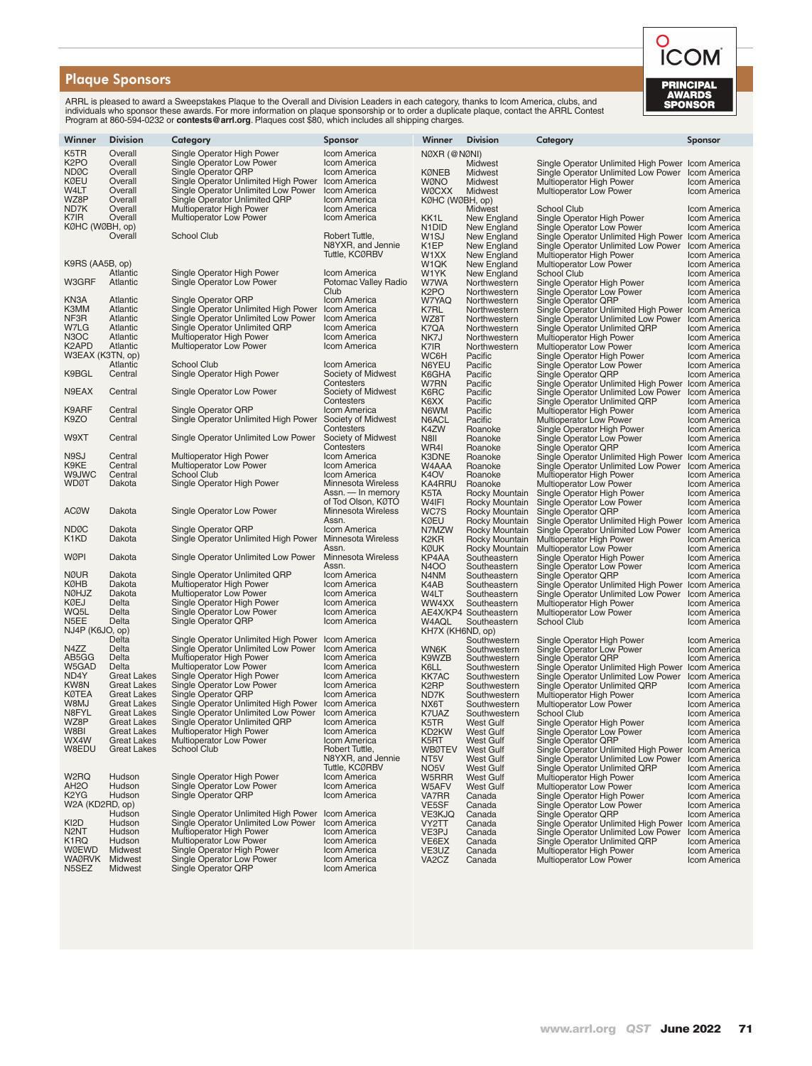#### Plaque Sponsors

ARRL is pleased to award a Sweepstakes Plaque to the Overall and Division Leaders in each category, thanks to Icom America, clubs, and<br>individuals who sponsor these awards. For more information on plaque sponsorship or to

| Winner                    | <b>Division</b>                          | Category                                                          | Sponsor                             | Winner                                 | <b>Division</b>                       | Category                                                                                 | Sponsor                             |
|---------------------------|------------------------------------------|-------------------------------------------------------------------|-------------------------------------|----------------------------------------|---------------------------------------|------------------------------------------------------------------------------------------|-------------------------------------|
| K5TR                      | Overall                                  | Single Operator High Power                                        | Icom America                        | NØXR (@NØNI)                           |                                       |                                                                                          |                                     |
| K <sub>2</sub> PO         | Overall                                  | Single Operator Low Power                                         | Icom America                        |                                        | Midwest                               | Single Operator Unlimited High Power Icom America                                        |                                     |
| <b>NDØC</b>               | Overall                                  | Single Operator QRP                                               | Icom America                        | <b>KØNEB</b>                           | Midwest                               | Single Operator Unlimited Low Power                                                      | Icom America                        |
| <b>KØEU</b>               | Overall                                  | Single Operator Unlimited High Power                              | Icom America                        | <b>WØNO</b>                            | Midwest                               | Multioperator High Power                                                                 | Icom America                        |
| W4LT                      | Overall                                  | Single Operator Unlimited Low Power                               | Icom America                        | <b>WØCXX</b>                           | Midwest                               | Multioperator Low Power                                                                  | Icom America                        |
| WZ8P                      | Overall                                  | Single Operator Unlimited QRP                                     | Icom America                        | KØHC (WØBH, op)                        |                                       |                                                                                          |                                     |
| ND7K                      | Overall                                  | <b>Multioperator High Power</b>                                   | Icom America                        |                                        | Midwest                               | School Club                                                                              | Icom America                        |
| K7IR                      | Overall                                  | <b>Multioperator Low Power</b>                                    | Icom America                        | KK1L                                   | New England                           | Single Operator High Power                                                               | <b>Icom America</b>                 |
| KØHC (WØBH, op)           |                                          |                                                                   |                                     | N <sub>1</sub> D <sub>ID</sub>         | New England                           | Single Operator Low Power                                                                | Icom America                        |
|                           | Overall                                  | <b>School Club</b>                                                | Robert Tuttle,                      | W <sub>1</sub> SJ                      | New England                           | Single Operator Unlimited High Power Icom America                                        |                                     |
|                           |                                          |                                                                   | N8YXR, and Jennie<br>Tuttle, KCØRBV | K <sub>1</sub> EP<br>W <sub>1</sub> XX | New England<br>New England            | Single Operator Unlimited Low Power<br>Multioperator High Power                          | Icom America<br>Icom America        |
| K9RS (AA5B, op)           |                                          |                                                                   |                                     | W1QK                                   | New England                           | Multioperator Low Power                                                                  | Icom America                        |
|                           | Atlantic                                 | Single Operator High Power                                        | Icom America                        | W1YK                                   | New England                           | <b>School Club</b>                                                                       | Icom America                        |
| W3GRF                     | Atlantic                                 | Single Operator Low Power                                         | Potomac Valley Radio                | W7WA                                   | Northwestern                          | Single Operator High Power                                                               | <b>Icom America</b>                 |
|                           |                                          |                                                                   | Club                                | K <sub>2</sub> PO                      | Northwestern                          | Single Operator Low Power                                                                | Icom America                        |
| KN3A                      | Atlantic                                 | Single Operator QRP                                               | Icom America                        | W7YAQ                                  | Northwestern                          | Single Operator QRP                                                                      | <b>Icom America</b>                 |
| K3MM                      | Atlantic                                 | Single Operator Unlimited High Power                              | Icom America                        | K7RL                                   | Northwestern                          | Single Operator Unlimited High Power                                                     | <b>Icom America</b>                 |
| NF3R                      | Atlantic                                 | Single Operator Unlimited Low Power                               | <b>Icom America</b>                 | WZ8T                                   | Northwestern                          | Single Operator Unlimited Low Power                                                      | Icom America                        |
| W7LG<br>N <sub>3</sub> OC | Atlantic<br>Atlantic                     | Single Operator Unlimited QRP                                     | Icom America                        | K7QA                                   | Northwestern                          | Single Operator Unlimited QRP                                                            | Icom America                        |
| K2APD                     | Atlantic                                 | <b>Multioperator High Power</b><br><b>Multioperator Low Power</b> | Icom America<br><b>Icom America</b> | NK7J                                   | Northwestern<br>Northwestern          | Multioperator High Power                                                                 | Icom America<br>Icom America        |
| W3EAX (K3TN, op)          |                                          |                                                                   |                                     | K7IR<br>WC6H                           | Pacific                               | Multioperator Low Power<br>Single Operator High Power                                    | Icom America                        |
|                           | Atlantic                                 | <b>School Club</b>                                                | Icom America                        | N6YEU                                  | Pacific                               | Single Operator Low Power                                                                | Icom America                        |
| K9BGL                     | Central                                  | Single Operator High Power                                        | Society of Midwest                  | K6GHA                                  | Pacific                               | Single Operator QRP                                                                      | Icom America                        |
|                           |                                          |                                                                   | Contesters                          | W7RN                                   | Pacific                               | Single Operator Unlimited High Power                                                     | Icom America                        |
| N9EAX                     | Central                                  | Single Operator Low Power                                         | Society of Midwest                  | K6RC                                   | Pacific                               | Single Operator Unlimited Low Power                                                      | Icom America                        |
|                           |                                          |                                                                   | Contesters                          | K6XX                                   | Pacific                               | Single Operator Unlimited QRP                                                            | Icom America                        |
| K9ARF                     | Central                                  | Single Operator QRP                                               | Icom America                        | N6WM                                   | Pacific                               | Multioperator High Power                                                                 | Icom America                        |
| K9ZO                      | Central                                  | Single Operator Unlimited High Power Society of Midwest           |                                     | N6ACL                                  | Pacific                               | <b>Multioperator Low Power</b>                                                           | Icom America                        |
| W9XT                      | Central                                  | Single Operator Unlimited Low Power                               | Contesters<br>Society of Midwest    | K4ZW<br>N8II                           | Roanoke<br>Roanoke                    | Single Operator High Power                                                               | Icom America<br><b>Icom America</b> |
|                           |                                          |                                                                   | Contesters                          | WR4I                                   | Roanoke                               | Single Operator Low Power<br>Single Operator QRP                                         | Icom America                        |
| N9SJ                      | Central                                  | Multioperator High Power                                          | Icom America                        | K3DNE                                  | Roanoke                               | Single Operator Unlimited High Power                                                     | <b>Icom America</b>                 |
| K9KE                      | Central                                  | <b>Multioperator Low Power</b>                                    | Icom America                        | W4AAA                                  | Roanoke                               | Single Operator Unlimited Low Power                                                      | Icom America                        |
| W9JWC                     | Central                                  | <b>School Club</b>                                                | Icom America                        | K <sub>4</sub> OV                      | Roanoke                               | <b>Multioperator High Power</b>                                                          | Icom America                        |
| WDØT                      | Dakota                                   | Single Operator High Power                                        | <b>Minnesota Wireless</b>           | KA4RRU                                 | Roanoke                               | Multioperator Low Power                                                                  | Icom America                        |
|                           |                                          |                                                                   | Assn. - In memory                   | K5TA                                   | Rocky Mountain                        | Single Operator High Power                                                               | Icom America                        |
|                           |                                          |                                                                   | of Tod Olson, KØTÓ                  | W4IFI                                  | Rocky Mountain                        | Single Operator Low Power                                                                | <b>Icom America</b>                 |
| <b>ACØW</b>               | Dakota                                   | Single Operator Low Power                                         | <b>Minnesota Wireless</b>           | WC7S                                   | Rocky Mountain                        | Single Operator QRP                                                                      | Icom America                        |
| <b>NDØC</b>               | Dakota                                   | Single Operator QRP                                               | Assn.<br>Icom America               | <b>KØEU</b><br>N7MZW                   | Rocky Mountain<br>Rocky Mountain      | Single Operator Unlimited High Power Icom America<br>Single Operator Unlimited Low Power | Icom America                        |
| K1KD                      | Dakota                                   | Single Operator Unlimited High Power                              | <b>Minnesota Wireless</b>           | K <sub>2</sub> K <sub>R</sub>          | Rocky Mountain                        | Multioperator High Power                                                                 | Icom America                        |
|                           |                                          |                                                                   | Assn.                               | <b>KØUK</b>                            | Rocky Mountain                        | <b>Multioperator Low Power</b>                                                           | Icom America                        |
| WØPI                      | Dakota                                   | Single Operator Unlimited Low Power                               | <b>Minnesota Wireless</b>           | KP4AA                                  | Southeastern                          | Single Operator High Power                                                               | Icom America                        |
|                           |                                          |                                                                   | Assn.                               | <b>N4OO</b>                            | Southeastern                          | Single Operator Low Power                                                                | Icom America                        |
| <b>NØUR</b>               | Dakota                                   | Single Operator Unlimited QRP                                     | Icom America                        | N4NM                                   | Southeastern                          | Single Operator QRP                                                                      | Icom America                        |
| KØHB                      | Dakota                                   | <b>Multioperator High Power</b>                                   | Icom America                        | K4AB                                   | Southeastern                          | Single Operator Unlimited High Power                                                     | Icom America                        |
| <b>NØHJZ</b>              | Dakota                                   | <b>Multioperator Low Power</b>                                    | Icom America                        | W4LT                                   | Southeastern                          | Single Operator Unlimited Low Power                                                      | Icom America                        |
| KØEJ<br>WQ5L              | Delta<br>Delta                           | Single Operator High Power<br>Single Operator Low Power           | Icom America<br>Icom America        | WW4XX                                  | Southeastern<br>AE4X/KP4 Southeastern | Multioperator High Power<br><b>Multioperator Low Power</b>                               | Icom America                        |
| N5EE                      | Delta                                    | Single Operator QRP                                               | Icom America                        | W4AQL                                  | Southeastern                          | <b>School Club</b>                                                                       | Icom America<br>Icom America        |
| NJ4P (K6JO, op)           |                                          |                                                                   |                                     | KH7X (KH6ND, op)                       |                                       |                                                                                          |                                     |
|                           | Delta                                    | Single Operator Unlimited High Power                              | Icom America                        |                                        | Southwestern                          | Single Operator High Power                                                               | Icom America                        |
| N4ZZ                      | Delta                                    | Single Operator Unlimited Low Power                               | <b>Icom America</b>                 | <b>WN6K</b>                            | Southwestern                          | Single Operator Low Power                                                                | Icom America                        |
| AB5GG                     | Delta                                    | <b>Multioperator High Power</b>                                   | Icom America                        | K9WZB                                  | Southwestern                          | Single Operator QRP                                                                      | Icom America                        |
| W5GAD                     | Delta                                    | <b>Multioperator Low Power</b>                                    | Icom America                        | K6LL                                   | Southwestern                          | Single Operator Unlimited High Power                                                     | <b>Icom America</b>                 |
| ND4Y                      | <b>Great Lakes</b>                       | Single Operator High Power                                        | Icom America                        | <b>KK7AC</b>                           | Southwestern                          | Single Operator Unlimited Low Power                                                      | Icom America                        |
| KW8N                      | <b>Great Lakes</b>                       | Single Operator Low Power                                         | Icom America<br>Icom America        | K <sub>2</sub> RP                      | Southwestern                          | Single Operator Unlimited QRP                                                            | <b>Icom America</b>                 |
| KØTEA<br>UM8W             | <b>Great Lakes</b><br><b>Great Lakes</b> | Single Operator QRP<br>Single Operator Unlimited High Power       | Icom America                        | ND7K                                   | Southwestern<br>Southwestern          | <b>Multioperator High Power</b>                                                          | Icom America<br>Icom America        |
| N8FYL                     | <b>Great Lakes</b>                       | Single Operator Unlimited Low Power                               | Icom America                        | NX6T<br>K7UAZ                          | Southwestern                          | Multioperator Low Power<br><b>School Club</b>                                            | Icom America                        |
| WZ8P                      | <b>Great Lakes</b>                       | Single Operator Unlimited QRP                                     | Icom America                        | K5TR                                   | West Gulf                             | Single Operator High Power                                                               | Icom America                        |
| W8BI                      | <b>Great Lakes</b>                       | <b>Multioperator High Power</b>                                   | Icom America                        | KD2KW                                  | <b>West Gulf</b>                      | Single Operator Low Power                                                                | Icom America                        |
| WX4W                      | <b>Great Lakes</b>                       | Multioperator Low Power                                           | Icom America                        | K5RT                                   | <b>West Gulf</b>                      | Single Operator QRP                                                                      | Icom America                        |
| W8EDU                     | <b>Great Lakes</b>                       | <b>School Club</b>                                                | Robert Tuttle,                      |                                        | WBØTEV West Gulf                      | Single Operator Unlimited High Power Icom America                                        |                                     |
|                           |                                          |                                                                   | N8YXR, and Jennie                   | NT5V                                   | <b>West Gulf</b>                      | Single Operator Unlimited Low Power Icom America                                         |                                     |
|                           |                                          |                                                                   | Tuttle, KCØRBV                      | NO <sub>5</sub> V                      | <b>West Gulf</b>                      | Single Operator Unlimited QRP                                                            | Icom America                        |
| W2RQ<br>AH <sub>2</sub> O | Hudson                                   | Single Operator High Power<br>Single Operator Low Power           | Icom America<br><b>Icom America</b> | W5RRR                                  | <b>West Gulf</b>                      | Multioperator High Power                                                                 | Icom America                        |
| K2YG                      | Hudson<br>Hudson                         | Single Operator QRP                                               | Icom America                        | W5AFV<br>VA7RR                         | <b>West Gulf</b><br>Canada            | Multioperator Low Power<br>Single Operator High Power                                    | Icom America<br>Icom America        |
| W2A (KD2RD, op)           |                                          |                                                                   |                                     | VE5SF                                  | Canada                                | Single Operator Low Power                                                                | Icom America                        |
|                           | Hudson                                   | Single Operator Unlimited High Power                              | Icom America                        | VE3KJQ                                 | Canada                                | Single Operator QRP                                                                      | Icom America                        |
| KI2D                      | Hudson                                   | Single Operator Unlimited Low Power                               | Icom America                        | VY2TT                                  | Canada                                | Single Operator Unlimited High Power                                                     | Icom America                        |
| N <sub>2</sub> NT         | Hudson                                   | Multioperator High Power                                          | Icom America                        | VE3PJ                                  | Canada                                | Single Operator Unlimited Low Power                                                      | Icom America                        |
| K1RQ                      | Hudson                                   | <b>Multioperator Low Power</b>                                    | Icom America                        | VE6EX                                  | Canada                                | Single Operator Unlimited QRP                                                            | Icom America                        |
| WØEWD                     | Midwest                                  | Single Operator High Power                                        | Icom America                        | VE3UZ                                  | Canada                                | Multioperator High Power                                                                 | Icom America                        |
| WAØRVK Midwest            |                                          | Single Operator Low Power                                         | Icom America                        | VA <sub>2</sub> CZ                     | Canada                                | Multioperator Low Power                                                                  | Icom America                        |
| N5SEZ                     | Midwest                                  | Single Operator QRP                                               | Icom America                        |                                        |                                       |                                                                                          |                                     |

COM